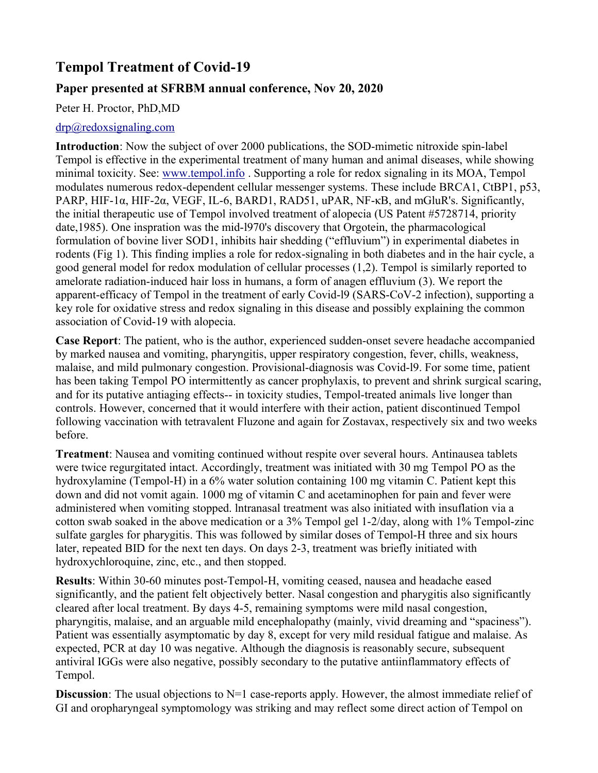# **Tempol Treatment of Covid-19**

## **Paper presented at SFRBM annual conference, Nov 20, 2020**

Peter H. Proctor, PhD,MD

#### [drp@redoxsignaling.com](mailto:drp@redoxsignaling.com)

**Introduction**: Now the subject of over 2000 publications, the SOD-mimetic nitroxide spin-label Tempol is effective in the experimental treatment of many human and animal diseases, while showing minimal toxicity. See: [www.tempol.info](http://www.tempol.info/) . Supporting a role for redox signaling in its MOA, Tempol modulates numerous redox-dependent cellular messenger systems. These include BRCA1, CtBP1, p53, PARP, HIF-1α, HIF-2α, VEGF, IL-6, BARD1, RAD51, uPAR, NF-κΒ, and mGluR's. Significantly, the initial therapeutic use of Tempol involved treatment of alopecia (US Patent #5728714, priority date,1985). One inspration was the mid-l970's discovery that Orgotein, the pharmacological formulation of bovine liver SOD1, inhibits hair shedding ("effluvium") in experimental diabetes in rodents (Fig 1). This finding implies a role for redox-signaling in both diabetes and in the hair cycle, a good general model for redox modulation of cellular processes (1,2). Tempol is similarly reported to amelorate radiation-induced hair loss in humans, a form of anagen effluvium (3). We report the apparent-efficacy of Tempol in the treatment of early Covid-l9 (SARS-CoV-2 infection), supporting a key role for oxidative stress and redox signaling in this disease and possibly explaining the common association of Covid-19 with alopecia.

**Case Report**: The patient, who is the author, experienced sudden-onset severe headache accompanied by marked nausea and vomiting, pharyngitis, upper respiratory congestion, fever, chills, weakness, malaise, and mild pulmonary congestion. Provisional-diagnosis was Covid-l9. For some time, patient has been taking Tempol PO intermittently as cancer prophylaxis, to prevent and shrink surgical scaring, and for its putative antiaging effects-- in toxicity studies, Tempol-treated animals live longer than controls. However, concerned that it would interfere with their action, patient discontinued Tempol following vaccination with tetravalent Fluzone and again for Zostavax, respectively six and two weeks before.

**Treatment**: Nausea and vomiting continued without respite over several hours. Antinausea tablets were twice regurgitated intact. Accordingly, treatment was initiated with 30 mg Tempol PO as the hydroxylamine (Tempol-H) in a 6% water solution containing 100 mg vitamin C. Patient kept this down and did not vomit again. 1000 mg of vitamin C and acetaminophen for pain and fever were administered when vomiting stopped. lntranasal treatment was also initiated with insuflation via a cotton swab soaked in the above medication or a 3% Tempol gel 1-2/day, along with 1% Tempol-zinc sulfate gargles for pharygitis. This was followed by similar doses of Tempol-H three and six hours later, repeated BID for the next ten days. On days 2-3, treatment was briefly initiated with hydroxychloroquine, zinc, etc., and then stopped.

**Results**: Within 30-60 minutes post-Tempol-H, vomiting ceased, nausea and headache eased significantly, and the patient felt objectively better. Nasal congestion and pharygitis also significantly cleared after local treatment. By days 4-5, remaining symptoms were mild nasal congestion, pharyngitis, malaise, and an arguable mild encephalopathy (mainly, vivid dreaming and "spaciness"). Patient was essentially asymptomatic by day 8, except for very mild residual fatigue and malaise. As expected, PCR at day 10 was negative. Although the diagnosis is reasonably secure, subsequent antiviral IGGs were also negative, possibly secondary to the putative antiinflammatory effects of Tempol.

**Discussion**: The usual objections to N=1 case-reports apply. However, the almost immediate relief of GI and oropharyngeal symptomology was striking and may reflect some direct action of Tempol on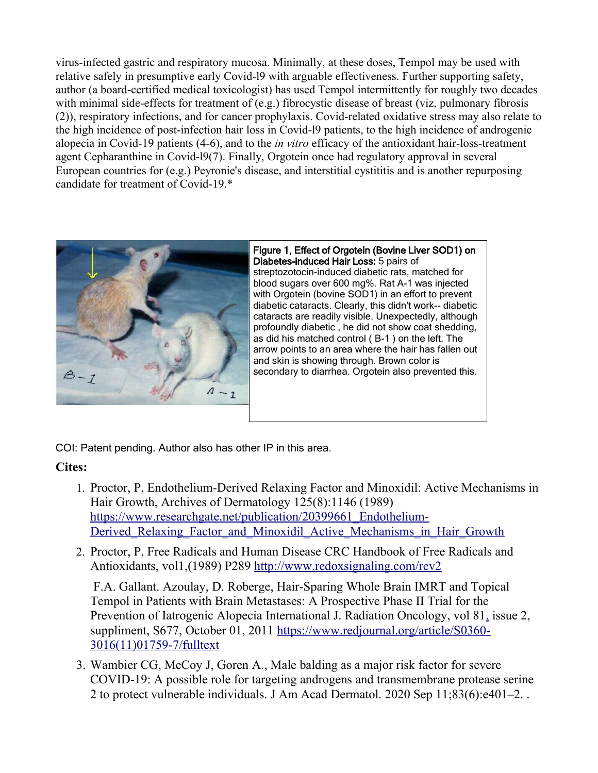virus-infected gastric and respiratory mucosa. Minimally, at these doses, Tempol may be used with relative safely in presumptive early Covid-l9 with arguable effectiveness. Further supporting safety, author (a board-certified medical toxicologist) has used Tempol intermittently for roughly two decades with minimal side-effects for treatment of (e.g.) fibrocystic disease of breast (viz, pulmonary fibrosis (2)), respiratory infections, and for cancer prophylaxis. Covid-related oxidative stress may also relate to the high incidence of post-infection hair loss in Covid-l9 patients, to the high incidence of androgenic alopecia in Covid-19 patients (4-6), and to the *in vitro* efficacy of the antioxidant hair-loss-treatment agent Cepharanthine in Covid-l9(7). Finally, Orgotein once had regulatory approval in several European countries for (e.g.) Peyronie's disease, and interstitial cystititis and is another repurposing candidate for treatment of Covid-19.\*



Figure 1, Effect of Orgotein (Bovine Liver SOD1) on Diabetes-induced Hair Loss: 5 pairs of streptozotocin-induced diabetic rats, matched for blood sugars over 600 mg%. Rat A-1 was injected with Orgotein (bovine SOD1) in an effort to prevent diabetic cataracts. Clearly, this didn't work-- diabetic cataracts are readily visible. Unexpectedly, although profoundly diabetic , he did not show coat shedding, as did his matched control ( B-1 ) on the left. The arrow points to an area where the hair has fallen out and skin is showing through. Brown color is secondary to diarrhea. Orgotein also prevented this.

COI: Patent pending. Author also has other IP in this area.

## **Cites:**

- 1. Proctor, P, Endothelium-Derived Relaxing Factor and Minoxidil: Active Mechanisms in Hair Growth, Archives of Dermatology 125(8):1146 (1989) [https://www.researchgate.net/publication/20399661\\_Endothelium-](https://www.researchgate.net/publication/20399661_Endothelium-Derived_Relaxing_Factor_and_Minoxidil_Active_Mechanisms_in_Hair_Growth)Derived Relaxing Factor and Minoxidil Active Mechanisms in Hair Growth
- 2. Proctor, P, Free Radicals and Human Disease CRC Handbook of Free Radicals and Antioxidants, vol1,(1989) P289<http://www.redoxsignaling.com/rev2>

 F.A. Gallant. Azoulay, D. Roberge, Hair-Sparing Whole Brain IMRT and Topical Tempol in Patients with Brain Metastases: A Prospective Phase II Trial for the Prevention of Iatrogenic Alopecia International J. Radiation Oncology, vol 8[1,](https://www.redjournal.org/issue/S0360-3016(11)X0010-X) issue 2, suppliment, S677, October 01, 2011 [https://www.redjournal.org/article/S0360-](https://www.redjournal.org/article/S0360-3016(11)01759-7/fulltext) [3016\(11\)01759-7/fulltext](https://www.redjournal.org/article/S0360-3016(11)01759-7/fulltext)

3. Wambier CG, McCoy J, Goren A., Male balding as a major risk factor for severe COVID-19: A possible role for targeting androgens and transmembrane protease serine 2 to protect vulnerable individuals. J Am Acad Dermatol. 2020 Sep 11;83(6):e401–2. .